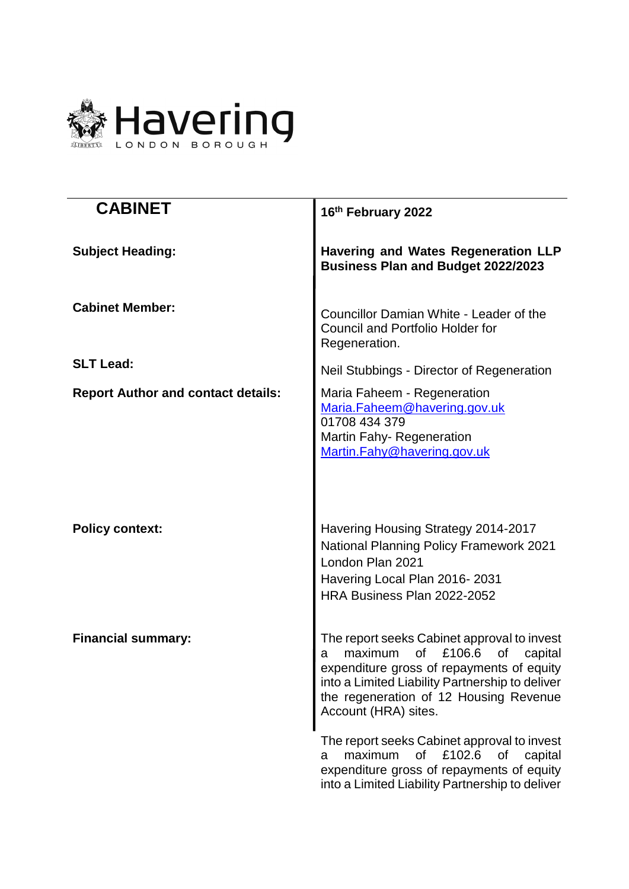

| <b>CABINET</b>                            | 16th February 2022                                                                                                                                                                                                                                             |
|-------------------------------------------|----------------------------------------------------------------------------------------------------------------------------------------------------------------------------------------------------------------------------------------------------------------|
| <b>Subject Heading:</b>                   | <b>Havering and Wates Regeneration LLP</b><br><b>Business Plan and Budget 2022/2023</b>                                                                                                                                                                        |
| <b>Cabinet Member:</b>                    | Councillor Damian White - Leader of the<br>Council and Portfolio Holder for<br>Regeneration.                                                                                                                                                                   |
| <b>SLT Lead:</b>                          | Neil Stubbings - Director of Regeneration                                                                                                                                                                                                                      |
| <b>Report Author and contact details:</b> | Maria Faheem - Regeneration<br>Maria.Faheem@havering.gov.uk<br>01708 434 379<br><b>Martin Fahy-Regeneration</b><br>Martin.Fahy@havering.gov.uk                                                                                                                 |
| <b>Policy context:</b>                    | Havering Housing Strategy 2014-2017<br><b>National Planning Policy Framework 2021</b><br>London Plan 2021<br>Havering Local Plan 2016-2031<br>HRA Business Plan 2022-2052                                                                                      |
| <b>Financial summary:</b>                 | The report seeks Cabinet approval to invest<br>of<br>£106.6<br>maximum<br>of<br>capital<br>a<br>expenditure gross of repayments of equity<br>into a Limited Liability Partnership to deliver<br>the regeneration of 12 Housing Revenue<br>Account (HRA) sites. |
|                                           | The report seeks Cabinet approval to invest<br>£102.6<br>maximum<br>of<br>of<br>capital<br>a<br>expenditure gross of repayments of equity<br>into a Limited Liability Partnership to deliver                                                                   |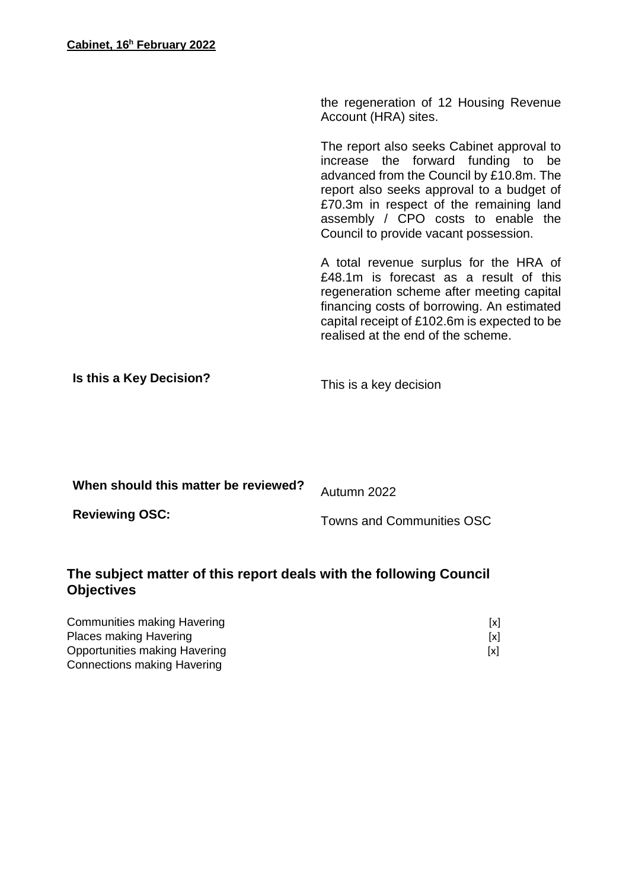the regeneration of 12 Housing Revenue Account (HRA) sites.

The report also seeks Cabinet approval to increase the forward funding to be advanced from the Council by £10.8m. The report also seeks approval to a budget of £70.3m in respect of the remaining land assembly / CPO costs to enable the Council to provide vacant possession.

A total revenue surplus for the HRA of £48.1m is forecast as a result of this regeneration scheme after meeting capital financing costs of borrowing. An estimated capital receipt of £102.6m is expected to be realised at the end of the scheme.

**Is this a Key Decision?** This is a key decision

| When should this matter be reviewed? | Autumn 2022                      |
|--------------------------------------|----------------------------------|
| <b>Reviewing OSC:</b>                | <b>Towns and Communities OSC</b> |

# **The subject matter of this report deals with the following Council Objectives**

| Communities making Havering   | [x] |
|-------------------------------|-----|
| <b>Places making Havering</b> | [x] |
| Opportunities making Havering | [x] |
| Connections making Havering   |     |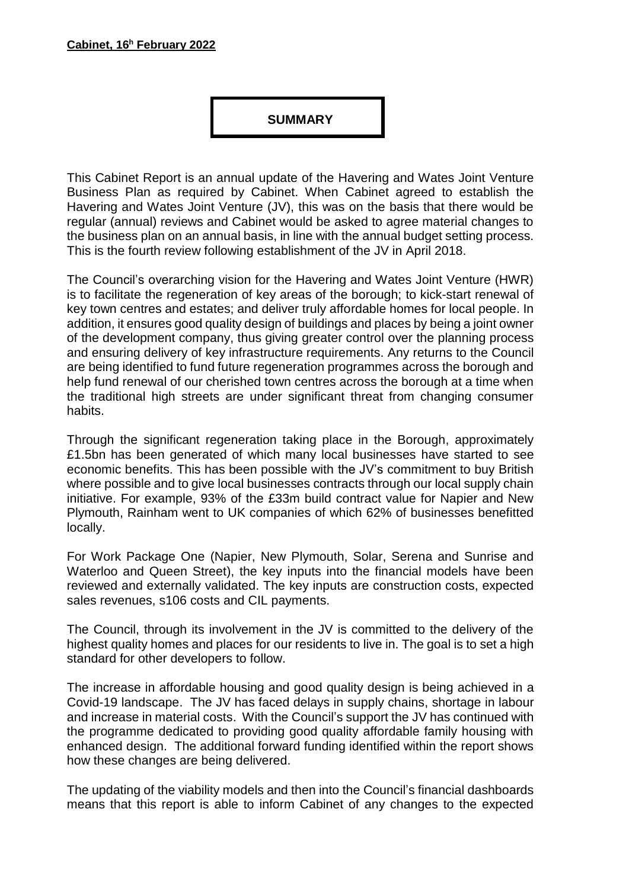#### **SUMMARY**

This Cabinet Report is an annual update of the Havering and Wates Joint Venture Business Plan as required by Cabinet. When Cabinet agreed to establish the Havering and Wates Joint Venture (JV), this was on the basis that there would be regular (annual) reviews and Cabinet would be asked to agree material changes to the business plan on an annual basis, in line with the annual budget setting process. This is the fourth review following establishment of the JV in April 2018.

The Council's overarching vision for the Havering and Wates Joint Venture (HWR) is to facilitate the regeneration of key areas of the borough; to kick-start renewal of key town centres and estates; and deliver truly affordable homes for local people. In addition, it ensures good quality design of buildings and places by being a joint owner of the development company, thus giving greater control over the planning process and ensuring delivery of key infrastructure requirements. Any returns to the Council are being identified to fund future regeneration programmes across the borough and help fund renewal of our cherished town centres across the borough at a time when the traditional high streets are under significant threat from changing consumer habits.

Through the significant regeneration taking place in the Borough, approximately £1.5bn has been generated of which many local businesses have started to see economic benefits. This has been possible with the JV's commitment to buy British where possible and to give local businesses contracts through our local supply chain initiative. For example, 93% of the £33m build contract value for Napier and New Plymouth, Rainham went to UK companies of which 62% of businesses benefitted locally.

For Work Package One (Napier, New Plymouth, Solar, Serena and Sunrise and Waterloo and Queen Street), the key inputs into the financial models have been reviewed and externally validated. The key inputs are construction costs, expected sales revenues, s106 costs and CIL payments.

The Council, through its involvement in the JV is committed to the delivery of the highest quality homes and places for our residents to live in. The goal is to set a high standard for other developers to follow.

The increase in affordable housing and good quality design is being achieved in a Covid-19 landscape. The JV has faced delays in supply chains, shortage in labour and increase in material costs. With the Council's support the JV has continued with the programme dedicated to providing good quality affordable family housing with enhanced design. The additional forward funding identified within the report shows how these changes are being delivered.

The updating of the viability models and then into the Council's financial dashboards means that this report is able to inform Cabinet of any changes to the expected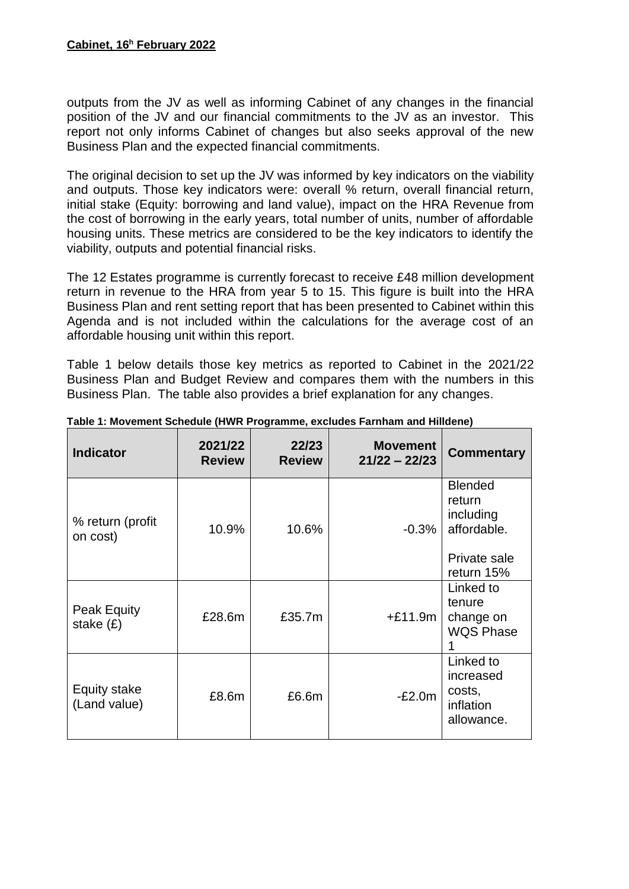outputs from the JV as well as informing Cabinet of any changes in the financial position of the JV and our financial commitments to the JV as an investor. This report not only informs Cabinet of changes but also seeks approval of the new Business Plan and the expected financial commitments.

The original decision to set up the JV was informed by key indicators on the viability and outputs. Those key indicators were: overall % return, overall financial return, initial stake (Equity: borrowing and land value), impact on the HRA Revenue from the cost of borrowing in the early years, total number of units, number of affordable housing units. These metrics are considered to be the key indicators to identify the viability, outputs and potential financial risks.

The 12 Estates programme is currently forecast to receive £48 million development return in revenue to the HRA from year 5 to 15. This figure is built into the HRA Business Plan and rent setting report that has been presented to Cabinet within this Agenda and is not included within the calculations for the average cost of an affordable housing unit within this report.

Table 1 below details those key metrics as reported to Cabinet in the 2021/22 Business Plan and Budget Review and compares them with the numbers in this Business Plan. The table also provides a brief explanation for any changes.

| <b>Indicator</b>             | 2021/22<br><b>Review</b> | 22/23<br><b>Review</b> | <b>Movement</b><br>$21/22 - 22/23$ | <b>Commentary</b>                                                                  |
|------------------------------|--------------------------|------------------------|------------------------------------|------------------------------------------------------------------------------------|
| % return (profit<br>on cost) | 10.9%                    | 10.6%                  | $-0.3%$                            | <b>Blended</b><br>return<br>including<br>affordable.<br>Private sale<br>return 15% |
| Peak Equity<br>stake $(E)$   | £28.6m                   | £35.7m                 | $+£11.9m$                          | Linked to<br>tenure<br>change on<br><b>WQS Phase</b>                               |
| Equity stake<br>(Land value) | £8.6m                    | £6.6m                  | $-E2.0m$                           | Linked to<br>increased<br>costs,<br>inflation<br>allowance.                        |

**Table 1: Movement Schedule (HWR Programme, excludes Farnham and Hilldene)**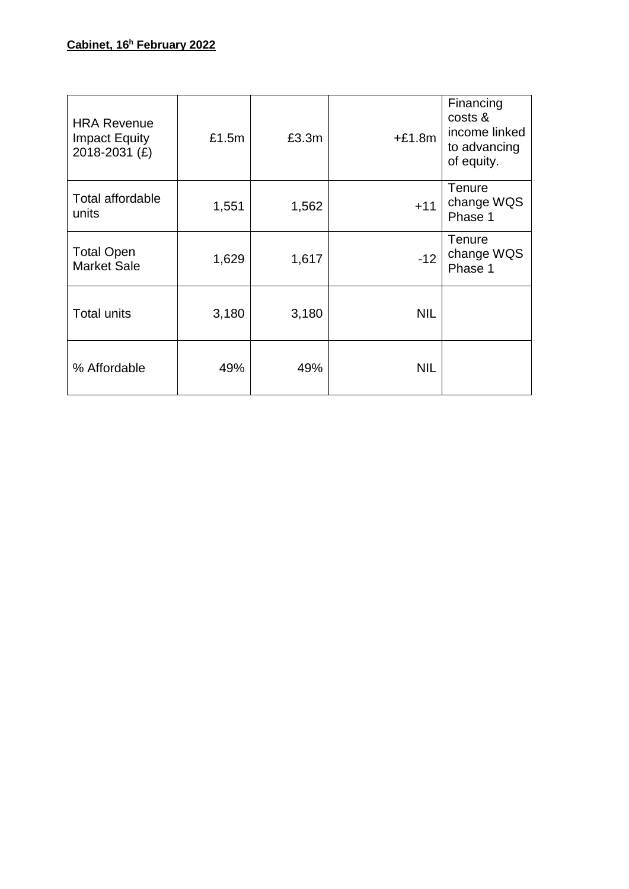| <b>HRA Revenue</b><br><b>Impact Equity</b><br>2018-2031 (£) | £1.5m | £3.3m | $+£1.8m$   | Financing<br>costs &<br>income linked<br>to advancing<br>of equity. |
|-------------------------------------------------------------|-------|-------|------------|---------------------------------------------------------------------|
| <b>Total affordable</b><br>units                            | 1,551 | 1,562 | $+11$      | <b>Tenure</b><br>change WQS<br>Phase 1                              |
| <b>Total Open</b><br><b>Market Sale</b>                     | 1,629 | 1,617 | $-12$      | Tenure<br>change WQS<br>Phase 1                                     |
| <b>Total units</b>                                          | 3,180 | 3,180 | <b>NIL</b> |                                                                     |
| % Affordable                                                | 49%   | 49%   | <b>NIL</b> |                                                                     |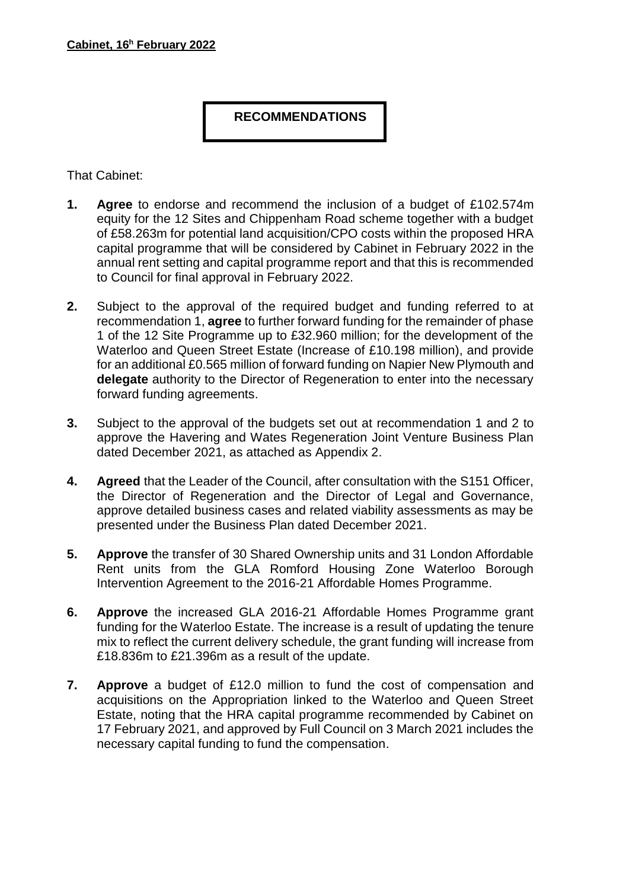# **RECOMMENDATIONS**

That Cabinet:

- **1. Agree** to endorse and recommend the inclusion of a budget of £102.574m equity for the 12 Sites and Chippenham Road scheme together with a budget of £58.263m for potential land acquisition/CPO costs within the proposed HRA capital programme that will be considered by Cabinet in February 2022 in the annual rent setting and capital programme report and that this is recommended to Council for final approval in February 2022.
- **2.** Subject to the approval of the required budget and funding referred to at recommendation 1, **agree** to further forward funding for the remainder of phase 1 of the 12 Site Programme up to £32.960 million; for the development of the Waterloo and Queen Street Estate (Increase of £10.198 million), and provide for an additional £0.565 million of forward funding on Napier New Plymouth and **delegate** authority to the Director of Regeneration to enter into the necessary forward funding agreements.
- **3.** Subject to the approval of the budgets set out at recommendation 1 and 2 to approve the Havering and Wates Regeneration Joint Venture Business Plan dated December 2021, as attached as Appendix 2.
- **4. Agreed** that the Leader of the Council, after consultation with the S151 Officer, the Director of Regeneration and the Director of Legal and Governance, approve detailed business cases and related viability assessments as may be presented under the Business Plan dated December 2021.
- **5. Approve** the transfer of 30 Shared Ownership units and 31 London Affordable Rent units from the GLA Romford Housing Zone Waterloo Borough Intervention Agreement to the 2016-21 Affordable Homes Programme.
- **6. Approve** the increased GLA 2016-21 Affordable Homes Programme grant funding for the Waterloo Estate. The increase is a result of updating the tenure mix to reflect the current delivery schedule, the grant funding will increase from £18.836m to £21.396m as a result of the update.
- **7. Approve** a budget of £12.0 million to fund the cost of compensation and acquisitions on the Appropriation linked to the Waterloo and Queen Street Estate, noting that the HRA capital programme recommended by Cabinet on 17 February 2021, and approved by Full Council on 3 March 2021 includes the necessary capital funding to fund the compensation.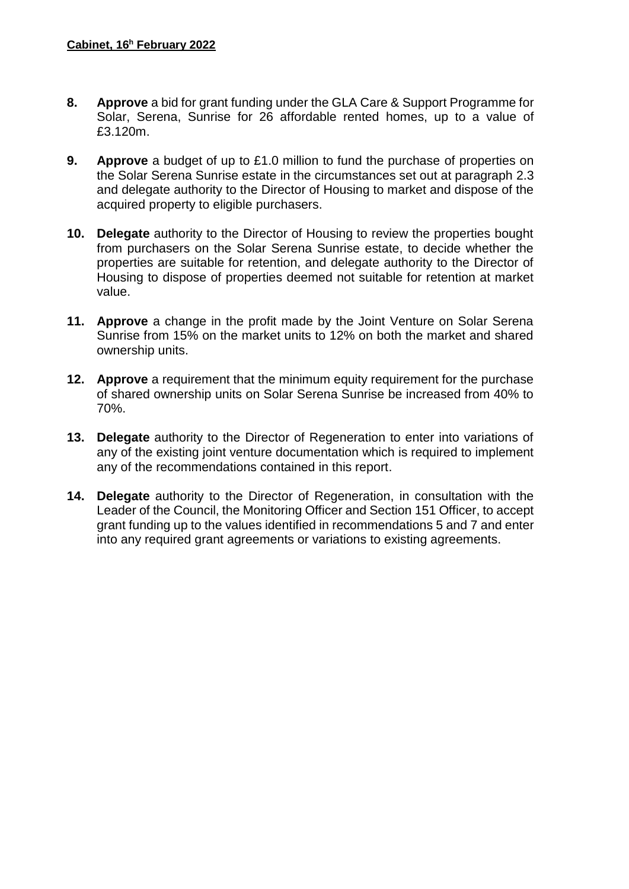- **8. Approve** a bid for grant funding under the GLA Care & Support Programme for Solar, Serena, Sunrise for 26 affordable rented homes, up to a value of £3.120m.
- **9. Approve** a budget of up to £1.0 million to fund the purchase of properties on the Solar Serena Sunrise estate in the circumstances set out at paragraph 2.3 and delegate authority to the Director of Housing to market and dispose of the acquired property to eligible purchasers.
- **10. Delegate** authority to the Director of Housing to review the properties bought from purchasers on the Solar Serena Sunrise estate, to decide whether the properties are suitable for retention, and delegate authority to the Director of Housing to dispose of properties deemed not suitable for retention at market value.
- **11. Approve** a change in the profit made by the Joint Venture on Solar Serena Sunrise from 15% on the market units to 12% on both the market and shared ownership units.
- **12. Approve** a requirement that the minimum equity requirement for the purchase of shared ownership units on Solar Serena Sunrise be increased from 40% to 70%.
- **13. Delegate** authority to the Director of Regeneration to enter into variations of any of the existing joint venture documentation which is required to implement any of the recommendations contained in this report.
- **14. Delegate** authority to the Director of Regeneration, in consultation with the Leader of the Council, the Monitoring Officer and Section 151 Officer, to accept grant funding up to the values identified in recommendations 5 and 7 and enter into any required grant agreements or variations to existing agreements.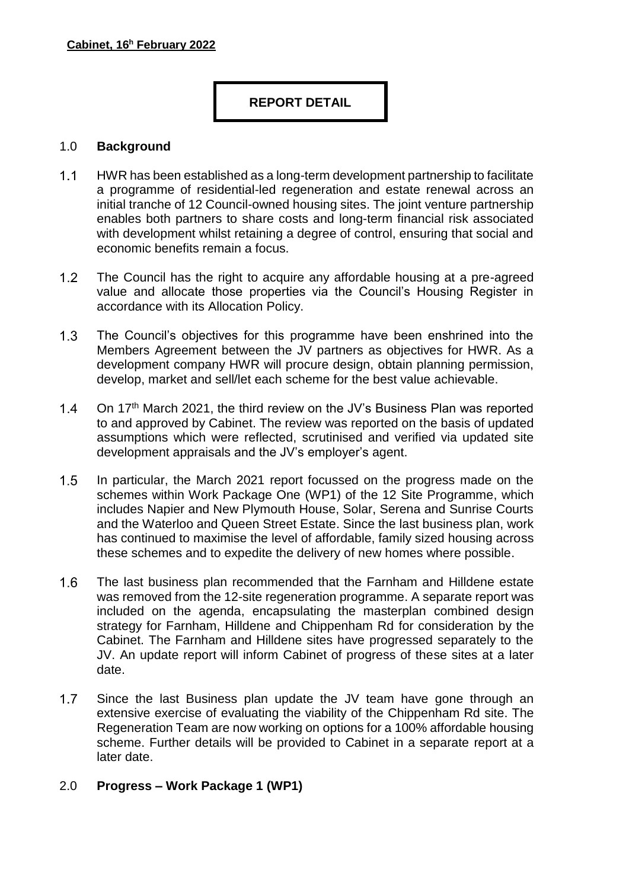# **REPORT DETAIL**

#### 1.0 **Background**

- $1.1$ HWR has been established as a long-term development partnership to facilitate a programme of residential-led regeneration and estate renewal across an initial tranche of 12 Council-owned housing sites. The joint venture partnership enables both partners to share costs and long-term financial risk associated with development whilst retaining a degree of control, ensuring that social and economic benefits remain a focus.
- $1.2$ The Council has the right to acquire any affordable housing at a pre-agreed value and allocate those properties via the Council's Housing Register in accordance with its Allocation Policy.
- $1.3$ The Council's objectives for this programme have been enshrined into the Members Agreement between the JV partners as objectives for HWR. As a development company HWR will procure design, obtain planning permission, develop, market and sell/let each scheme for the best value achievable.
- $1.4$ On 17<sup>th</sup> March 2021, the third review on the JV's Business Plan was reported to and approved by Cabinet. The review was reported on the basis of updated assumptions which were reflected, scrutinised and verified via updated site development appraisals and the JV's employer's agent.
- $1.5$ In particular, the March 2021 report focussed on the progress made on the schemes within Work Package One (WP1) of the 12 Site Programme, which includes Napier and New Plymouth House, Solar, Serena and Sunrise Courts and the Waterloo and Queen Street Estate. Since the last business plan, work has continued to maximise the level of affordable, family sized housing across these schemes and to expedite the delivery of new homes where possible.
- $1.6$ The last business plan recommended that the Farnham and Hilldene estate was removed from the 12-site regeneration programme. A separate report was included on the agenda, encapsulating the masterplan combined design strategy for Farnham, Hilldene and Chippenham Rd for consideration by the Cabinet. The Farnham and Hilldene sites have progressed separately to the JV. An update report will inform Cabinet of progress of these sites at a later date.
- $1.7$ Since the last Business plan update the JV team have gone through an extensive exercise of evaluating the viability of the Chippenham Rd site. The Regeneration Team are now working on options for a 100% affordable housing scheme. Further details will be provided to Cabinet in a separate report at a later date.

## 2.0 **Progress – Work Package 1 (WP1)**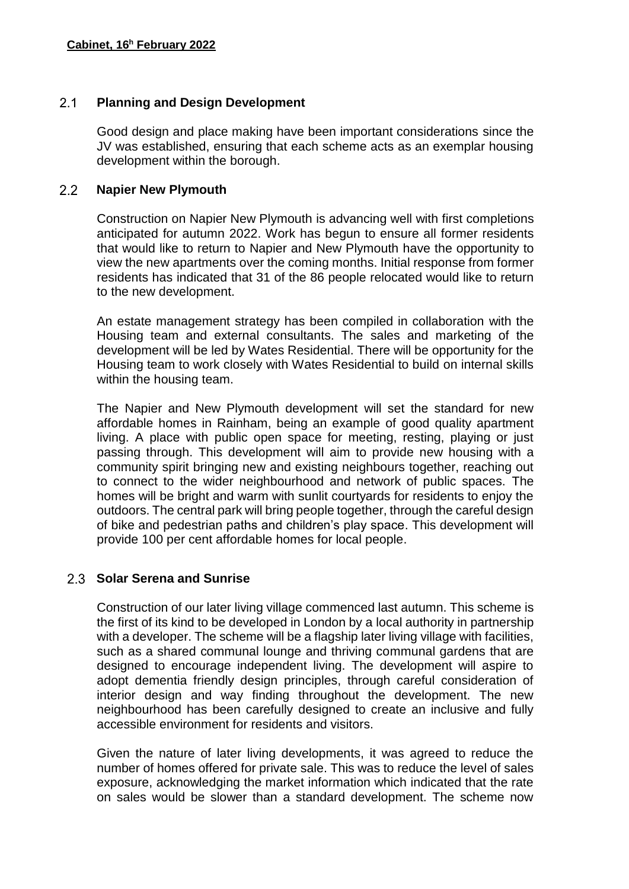#### $2.1$ **Planning and Design Development**

Good design and place making have been important considerations since the JV was established, ensuring that each scheme acts as an exemplar housing development within the borough.

#### $2.2$ **Napier New Plymouth**

Construction on Napier New Plymouth is advancing well with first completions anticipated for autumn 2022. Work has begun to ensure all former residents that would like to return to Napier and New Plymouth have the opportunity to view the new apartments over the coming months. Initial response from former residents has indicated that 31 of the 86 people relocated would like to return to the new development.

An estate management strategy has been compiled in collaboration with the Housing team and external consultants. The sales and marketing of the development will be led by Wates Residential. There will be opportunity for the Housing team to work closely with Wates Residential to build on internal skills within the housing team.

The Napier and New Plymouth development will set the standard for new affordable homes in Rainham, being an example of good quality apartment living. A place with public open space for meeting, resting, playing or just passing through. This development will aim to provide new housing with a community spirit bringing new and existing neighbours together, reaching out to connect to the wider neighbourhood and network of public spaces. The homes will be bright and warm with sunlit courtyards for residents to enjoy the outdoors. The central park will bring people together, through the careful design of bike and pedestrian paths and children's play space. This development will provide 100 per cent affordable homes for local people.

# **Solar Serena and Sunrise**

Construction of our later living village commenced last autumn. This scheme is the first of its kind to be developed in London by a local authority in partnership with a developer. The scheme will be a flagship later living village with facilities, such as a shared communal lounge and thriving communal gardens that are designed to encourage independent living. The development will aspire to adopt dementia friendly design principles, through careful consideration of interior design and way finding throughout the development. The new neighbourhood has been carefully designed to create an inclusive and fully accessible environment for residents and visitors.

Given the nature of later living developments, it was agreed to reduce the number of homes offered for private sale. This was to reduce the level of sales exposure, acknowledging the market information which indicated that the rate on sales would be slower than a standard development. The scheme now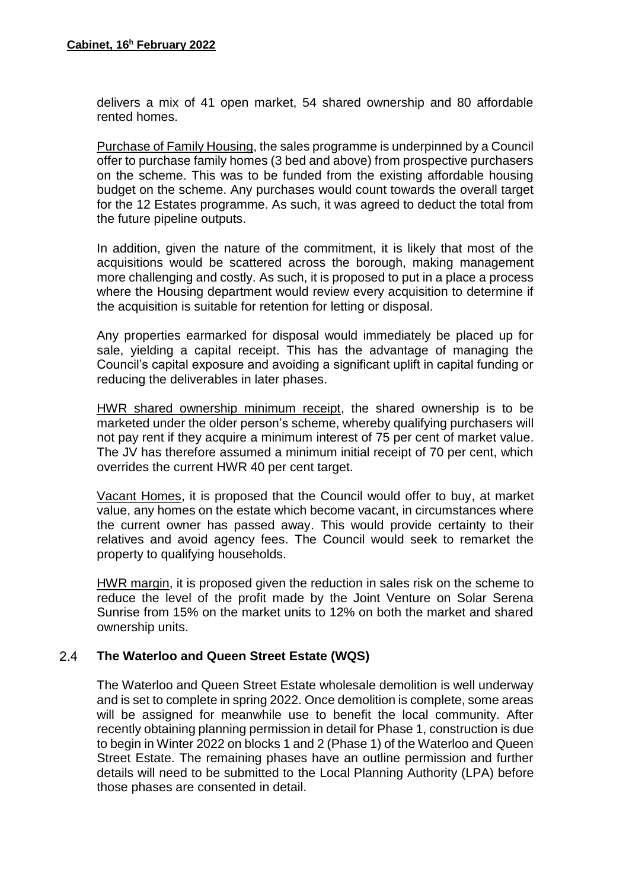delivers a mix of 41 open market, 54 shared ownership and 80 affordable rented homes.

Purchase of Family Housing, the sales programme is underpinned by a Council offer to purchase family homes (3 bed and above) from prospective purchasers on the scheme. This was to be funded from the existing affordable housing budget on the scheme. Any purchases would count towards the overall target for the 12 Estates programme. As such, it was agreed to deduct the total from the future pipeline outputs.

In addition, given the nature of the commitment, it is likely that most of the acquisitions would be scattered across the borough, making management more challenging and costly. As such, it is proposed to put in a place a process where the Housing department would review every acquisition to determine if the acquisition is suitable for retention for letting or disposal.

Any properties earmarked for disposal would immediately be placed up for sale, yielding a capital receipt. This has the advantage of managing the Council's capital exposure and avoiding a significant uplift in capital funding or reducing the deliverables in later phases.

HWR shared ownership minimum receipt, the shared ownership is to be marketed under the older person's scheme, whereby qualifying purchasers will not pay rent if they acquire a minimum interest of 75 per cent of market value. The JV has therefore assumed a minimum initial receipt of 70 per cent, which overrides the current HWR 40 per cent target.

Vacant Homes, it is proposed that the Council would offer to buy, at market value, any homes on the estate which become vacant, in circumstances where the current owner has passed away. This would provide certainty to their relatives and avoid agency fees. The Council would seek to remarket the property to qualifying households.

HWR margin, it is proposed given the reduction in sales risk on the scheme to reduce the level of the profit made by the Joint Venture on Solar Serena Sunrise from 15% on the market units to 12% on both the market and shared ownership units.

#### $2.4$ **The Waterloo and Queen Street Estate (WQS)**

The Waterloo and Queen Street Estate wholesale demolition is well underway and is set to complete in spring 2022. Once demolition is complete, some areas will be assigned for meanwhile use to benefit the local community. After recently obtaining planning permission in detail for Phase 1, construction is due to begin in Winter 2022 on blocks 1 and 2 (Phase 1) of the Waterloo and Queen Street Estate. The remaining phases have an outline permission and further details will need to be submitted to the Local Planning Authority (LPA) before those phases are consented in detail.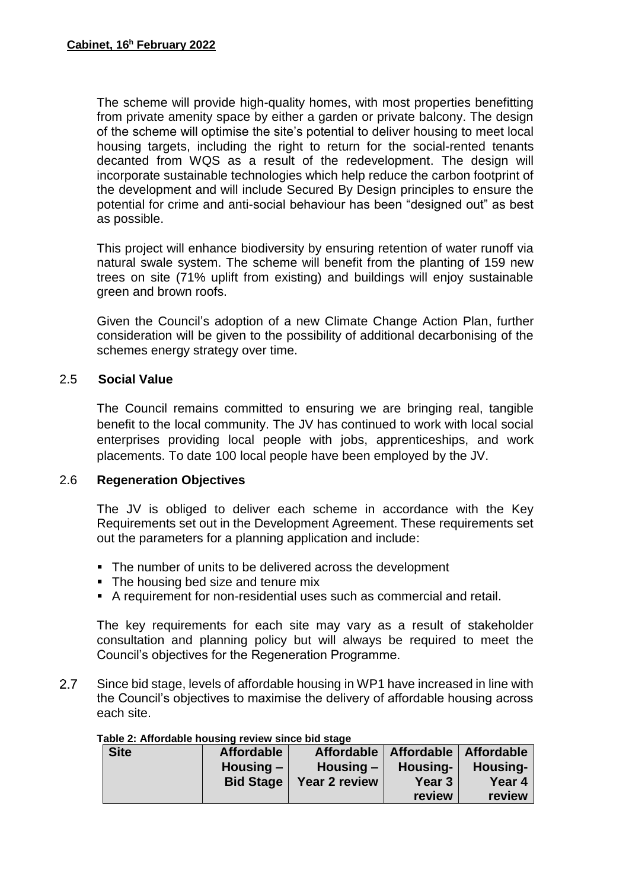The scheme will provide high-quality homes, with most properties benefitting from private amenity space by either a garden or private balcony. The design of the scheme will optimise the site's potential to deliver housing to meet local housing targets, including the right to return for the social-rented tenants decanted from WQS as a result of the redevelopment. The design will incorporate sustainable technologies which help reduce the carbon footprint of the development and will include Secured By Design principles to ensure the potential for crime and anti-social behaviour has been "designed out" as best as possible.

This project will enhance biodiversity by ensuring retention of water runoff via natural swale system. The scheme will benefit from the planting of 159 new trees on site (71% uplift from existing) and buildings will enjoy sustainable green and brown roofs.

Given the Council's adoption of a new Climate Change Action Plan, further consideration will be given to the possibility of additional decarbonising of the schemes energy strategy over time.

## 2.5 **Social Value**

The Council remains committed to ensuring we are bringing real, tangible benefit to the local community. The JV has continued to work with local social enterprises providing local people with jobs, apprenticeships, and work placements. To date 100 local people have been employed by the JV.

## 2.6 **Regeneration Objectives**

The JV is obliged to deliver each scheme in accordance with the Key Requirements set out in the Development Agreement. These requirements set out the parameters for a planning application and include:

- The number of units to be delivered across the development
- The housing bed size and tenure mix
- A requirement for non-residential uses such as commercial and retail.

The key requirements for each site may vary as a result of stakeholder consultation and planning policy but will always be required to meet the Council's objectives for the Regeneration Programme.

 $2.7$ Since bid stage, levels of affordable housing in WP1 have increased in line with the Council's objectives to maximise the delivery of affordable housing across each site.

| <b>Site</b> | <b>Affordable</b> |               | Affordable   Affordable   Affordable |          |
|-------------|-------------------|---------------|--------------------------------------|----------|
|             | Housing $-$       | Housing $-$   | Housing-                             | Housing- |
|             | <b>Bid Stage</b>  | Year 2 review | Year <sub>3</sub>                    | Year 4   |
|             |                   |               | review                               | review   |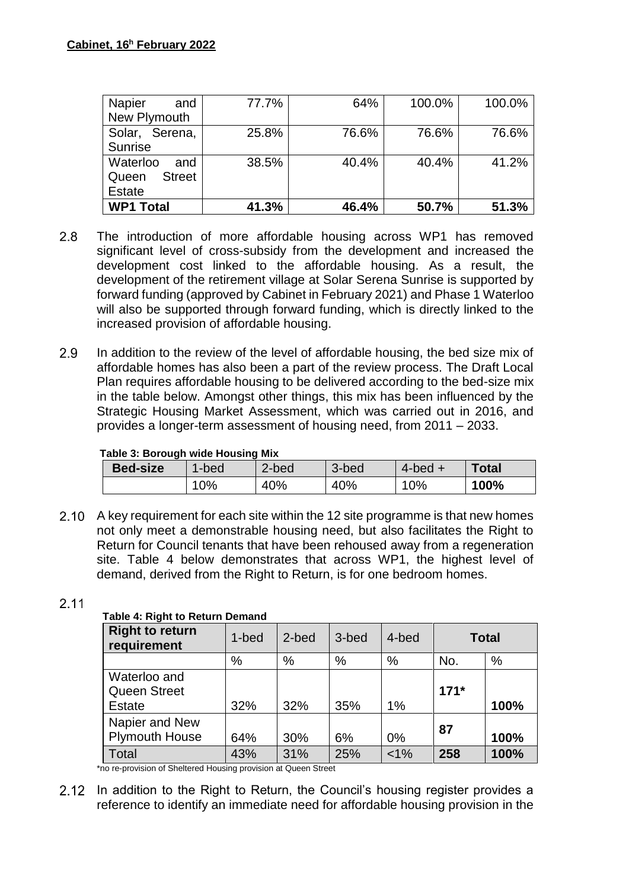| <b>Napier</b><br>and<br>New Plymouth                | 77.7% | 64%   | 100.0% | 100.0% |
|-----------------------------------------------------|-------|-------|--------|--------|
| Solar, Serena,<br>Sunrise                           | 25.8% | 76.6% | 76.6%  | 76.6%  |
| Waterloo<br>and<br><b>Street</b><br>Queen<br>Estate | 38.5% | 40.4% | 40.4%  | 41.2%  |
| <b>WP1 Total</b>                                    | 41.3% | 46.4% | 50.7%  | 51.3%  |

- $2.8$ The introduction of more affordable housing across WP1 has removed significant level of cross-subsidy from the development and increased the development cost linked to the affordable housing. As a result, the development of the retirement village at Solar Serena Sunrise is supported by forward funding (approved by Cabinet in February 2021) and Phase 1 Waterloo will also be supported through forward funding, which is directly linked to the increased provision of affordable housing.
- 2.9 In addition to the review of the level of affordable housing, the bed size mix of affordable homes has also been a part of the review process. The Draft Local Plan requires affordable housing to be delivered according to the bed-size mix in the table below. Amongst other things, this mix has been influenced by the Strategic Housing Market Assessment, which was carried out in 2016, and provides a longer-term assessment of housing need, from 2011 – 2033.

#### **Table 3: Borough wide Housing Mix**

| rapic of Dorough wide riousing mix |        |       |       |              |       |
|------------------------------------|--------|-------|-------|--------------|-------|
| <b>Bed-size</b>                    | 1-bed  | 2-bed | 3-bed | $4$ -bed $+$ | Total |
|                                    | $10\%$ | 40%   | 40%   | $10\%$       | 100%  |

2.10 A key requirement for each site within the 12 site programme is that new homes not only meet a demonstrable housing need, but also facilitates the Right to Return for Council tenants that have been rehoused away from a regeneration site. Table 4 below demonstrates that across WP1, the highest level of demand, derived from the Right to Return, is for one bedroom homes.

## $2.11$

## **Table 4: Right to Return Demand**

| <b>Right to return</b><br>requirement                | 1-bed | 2-bed | 3-bed | 4-bed   | <b>Total</b> |      |
|------------------------------------------------------|-------|-------|-------|---------|--------------|------|
|                                                      | %     | $\%$  | $\%$  | $\%$    | No.          | $\%$ |
| Waterloo and<br><b>Queen Street</b><br><b>Estate</b> | 32%   | 32%   | 35%   | 1%      | $171*$       | 100% |
| Napier and New<br><b>Plymouth House</b>              | 64%   | 30%   | 6%    | 0%      | 87           | 100% |
| <b>Total</b>                                         | 43%   | 31%   | 25%   | $< 1\%$ | 258          | 100% |

\*no re-provision of Sheltered Housing provision at Queen Street

2.12 In addition to the Right to Return, the Council's housing register provides a reference to identify an immediate need for affordable housing provision in the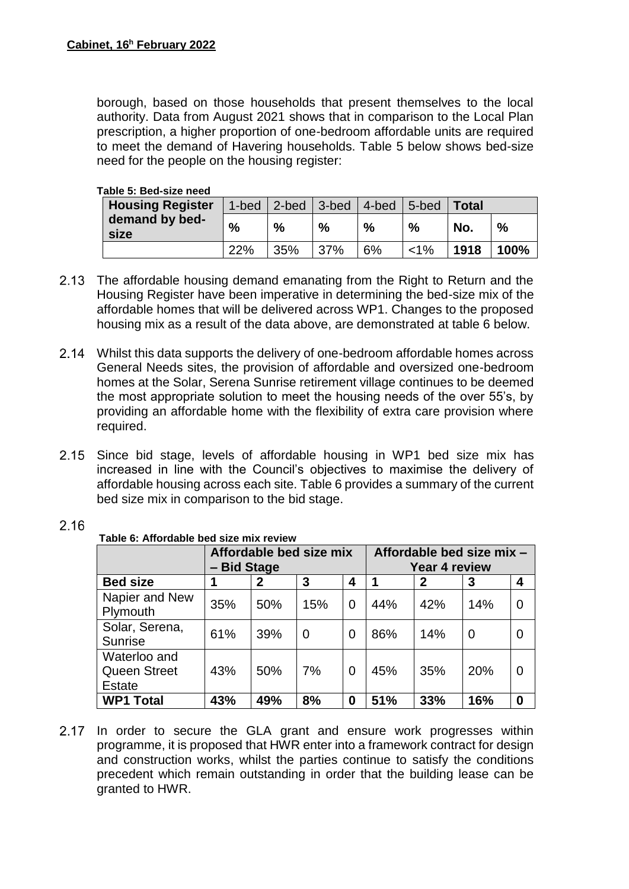borough, based on those households that present themselves to the local authority. Data from August 2021 shows that in comparison to the Local Plan prescription, a higher proportion of one-bedroom affordable units are required to meet the demand of Havering households. Table 5 below shows bed-size need for the people on the housing register:

#### **Table 5: Bed-size need**

| <b>Housing Register</b> | 1-bed | $\vert$ 2-bed | $3$ -bed   4-bed |    | 5-bed   | <b>Total</b> |      |
|-------------------------|-------|---------------|------------------|----|---------|--------------|------|
| demand by bed-<br>size  | $\%$  | %             | %                | %  | %       | No.          | %    |
|                         | 22%   | 35%           | 37%              | 6% | $< 1\%$ | 1918         | 100% |

- 2.13 The affordable housing demand emanating from the Right to Return and the Housing Register have been imperative in determining the bed-size mix of the affordable homes that will be delivered across WP1. Changes to the proposed housing mix as a result of the data above, are demonstrated at table 6 below.
- Whilst this data supports the delivery of one-bedroom affordable homes across General Needs sites, the provision of affordable and oversized one-bedroom homes at the Solar, Serena Sunrise retirement village continues to be deemed the most appropriate solution to meet the housing needs of the over 55's, by providing an affordable home with the flexibility of extra care provision where required.
- 2.15 Since bid stage, levels of affordable housing in WP1 bed size mix has increased in line with the Council's objectives to maximise the delivery of affordable housing across each site. Table 6 provides a summary of the current bed size mix in comparison to the bid stage.

| Table 6: Affordable bed size mix review              |             |                         |     |   |                           |               |                |                  |
|------------------------------------------------------|-------------|-------------------------|-----|---|---------------------------|---------------|----------------|------------------|
|                                                      |             | Affordable bed size mix |     |   | Affordable bed size mix - |               |                |                  |
|                                                      | - Bid Stage |                         |     |   |                           | Year 4 review |                |                  |
| <b>Bed size</b>                                      |             | 2                       | 3   | 4 |                           | $\mathbf{2}$  | 3              | 4                |
| Napier and New<br>Plymouth                           | 35%         | 50%                     | 15% | 0 | 44%                       | 42%           | 14%            | 0                |
| Solar, Serena,<br><b>Sunrise</b>                     | 61%         | 39%                     | 0   | 0 | 86%                       | 14%           | $\overline{0}$ | 0                |
| Waterloo and<br><b>Queen Street</b><br><b>Estate</b> | 43%         | 50%                     | 7%  | 0 | 45%                       | 35%           | 20%            | 0                |
| <b>WP1 Total</b>                                     | 43%         | 49%                     | 8%  | 0 | 51%                       | 33%           | 16%            | $\boldsymbol{0}$ |

## $2.16$

2.17 In order to secure the GLA grant and ensure work progresses within programme, it is proposed that HWR enter into a framework contract for design and construction works, whilst the parties continue to satisfy the conditions precedent which remain outstanding in order that the building lease can be granted to HWR.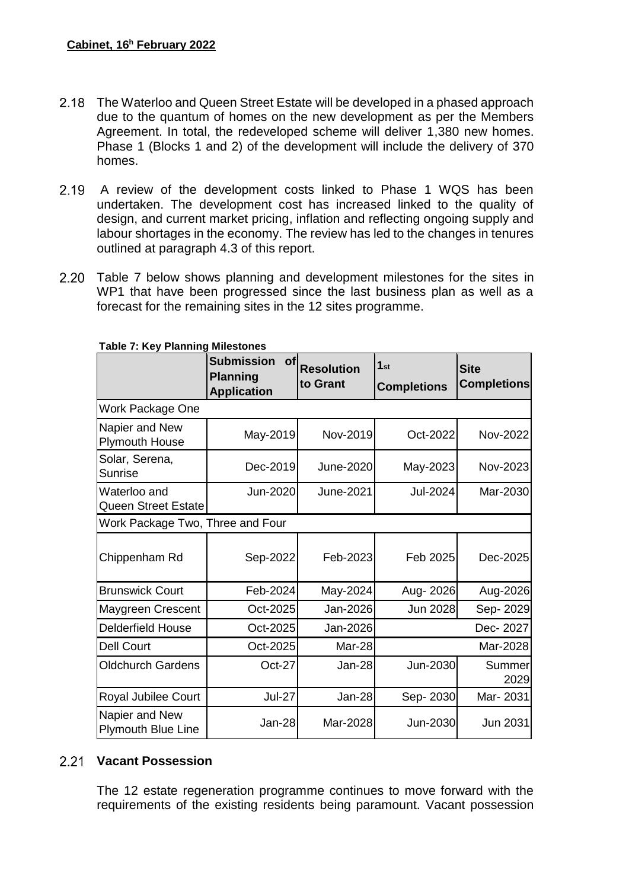- The Waterloo and Queen Street Estate will be developed in a phased approach due to the quantum of homes on the new development as per the Members Agreement. In total, the redeveloped scheme will deliver 1,380 new homes. Phase 1 (Blocks 1 and 2) of the development will include the delivery of 370 homes.
- 2.19 A review of the development costs linked to Phase 1 WQS has been undertaken. The development cost has increased linked to the quality of design, and current market pricing, inflation and reflecting ongoing supply and labour shortages in the economy. The review has led to the changes in tenures outlined at paragraph 4.3 of this report.
- 2.20 Table 7 below shows planning and development milestones for the sites in WP1 that have been progressed since the last business plan as well as a forecast for the remaining sites in the 12 sites programme.

|                                            | <b>Submission</b><br>Οf<br><b>Planning</b><br><b>Application</b> | <b>Resolution</b><br>to Grant | 1 <sub>st</sub><br><b>Completions</b> | <b>Site</b><br><b>Completions</b> |  |  |  |
|--------------------------------------------|------------------------------------------------------------------|-------------------------------|---------------------------------------|-----------------------------------|--|--|--|
| Work Package One                           |                                                                  |                               |                                       |                                   |  |  |  |
| Napier and New<br><b>Plymouth House</b>    | May-2019                                                         | Nov-2019                      | Oct-2022                              | Nov-2022                          |  |  |  |
| Solar, Serena,<br><b>Sunrise</b>           | Dec-2019                                                         | June-2020                     | May-2023                              | Nov-2023                          |  |  |  |
| Waterloo and<br><b>Queen Street Estate</b> | Jun-2020                                                         | June-2021                     | <b>Jul-2024</b>                       | Mar-2030                          |  |  |  |
| Work Package Two, Three and Four           |                                                                  |                               |                                       |                                   |  |  |  |
| Chippenham Rd                              | Sep-2022                                                         | Feb-2023                      | Feb 2025                              | Dec-2025                          |  |  |  |
| <b>Brunswick Court</b>                     | Feb-2024                                                         | May-2024                      | Aug- 2026                             | Aug-2026                          |  |  |  |
| Maygreen Crescent                          | Oct-2025                                                         | Jan-2026                      | Jun 2028                              | Sep-2029                          |  |  |  |
| <b>Delderfield House</b>                   | Oct-2025                                                         | Jan-2026                      |                                       | Dec-2027                          |  |  |  |
| <b>Dell Court</b>                          | Oct-2025                                                         | Mar-28                        |                                       | Mar-2028                          |  |  |  |
| <b>Oldchurch Gardens</b>                   | Oct-27                                                           | Jan-28                        | Jun-2030                              | Summer<br>2029                    |  |  |  |
| Royal Jubilee Court                        | <b>Jul-27</b>                                                    | Jan-28                        | Sep-2030                              | Mar-2031                          |  |  |  |
| Napier and New<br>Plymouth Blue Line       | Jan-28                                                           | Mar-2028                      | Jun-2030                              | Jun 2031                          |  |  |  |

#### **Table 7: Key Planning Milestones**

## **Vacant Possession**

The 12 estate regeneration programme continues to move forward with the requirements of the existing residents being paramount. Vacant possession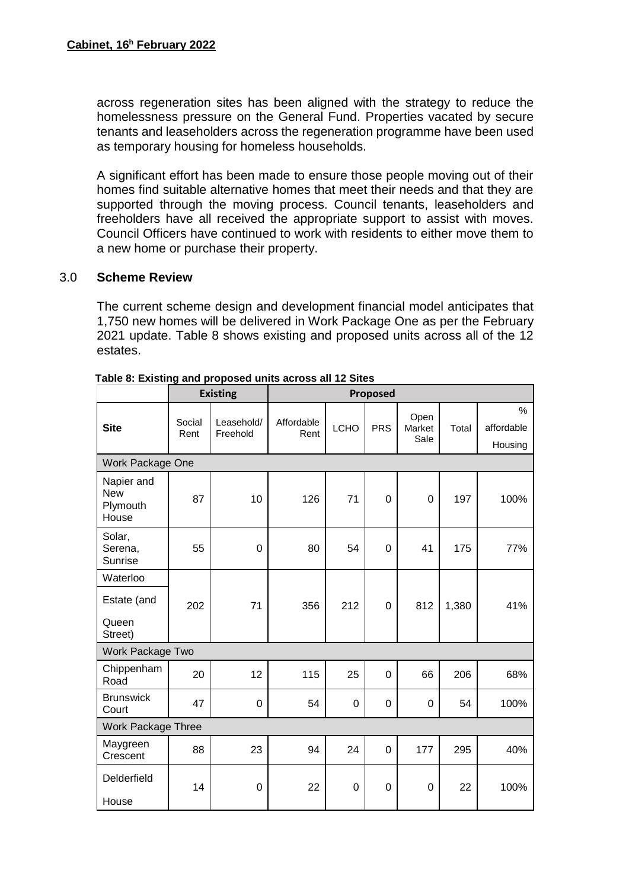across regeneration sites has been aligned with the strategy to reduce the homelessness pressure on the General Fund. Properties vacated by secure tenants and leaseholders across the regeneration programme have been used as temporary housing for homeless households.

A significant effort has been made to ensure those people moving out of their homes find suitable alternative homes that meet their needs and that they are supported through the moving process. Council tenants, leaseholders and freeholders have all received the appropriate support to assist with moves. Council Officers have continued to work with residents to either move them to a new home or purchase their property.

## 3.0 **Scheme Review**

The current scheme design and development financial model anticipates that 1,750 new homes will be delivered in Work Package One as per the February 2021 update. Table 8 shows existing and proposed units across all of the 12 estates.

|                                               |                | <b>Existing</b>        | Proposed           |                  |                |                        |       |                                        |
|-----------------------------------------------|----------------|------------------------|--------------------|------------------|----------------|------------------------|-------|----------------------------------------|
| <b>Site</b>                                   | Social<br>Rent | Leasehold/<br>Freehold | Affordable<br>Rent | <b>LCHO</b>      | <b>PRS</b>     | Open<br>Market<br>Sale | Total | $\frac{1}{2}$<br>affordable<br>Housing |
| Work Package One                              |                |                        |                    |                  |                |                        |       |                                        |
| Napier and<br><b>New</b><br>Plymouth<br>House | 87             | 10                     | 126                | 71               | $\overline{0}$ | $\mathbf 0$            | 197   | 100%                                   |
| Solar,<br>Serena,<br>Sunrise                  | 55             | $\mathbf 0$            | 80                 | 54               | 0              | 41                     | 175   | 77%                                    |
| Waterloo                                      |                |                        |                    |                  |                |                        |       |                                        |
| Estate (and                                   | 202            | 71                     | 356                | 212              | 0              | 812                    | 1,380 | 41%                                    |
| Queen<br>Street)                              |                |                        |                    |                  |                |                        |       |                                        |
| Work Package Two                              |                |                        |                    |                  |                |                        |       |                                        |
| Chippenham<br>Road                            | 20             | 12                     | 115                | 25               | 0              | 66                     | 206   | 68%                                    |
| <b>Brunswick</b><br>Court                     | 47             | 0                      | 54                 | $\boldsymbol{0}$ | 0              | 0                      | 54    | 100%                                   |
| <b>Work Package Three</b>                     |                |                        |                    |                  |                |                        |       |                                        |
| Maygreen<br>Crescent                          | 88             | 23                     | 94                 | 24               | 0              | 177                    | 295   | 40%                                    |
| Delderfield<br>House                          | 14             | $\mathbf 0$            | 22                 | $\mathbf 0$      | $\mathbf 0$    | $\mathbf 0$            | 22    | 100%                                   |

 **Table 8: Existing and proposed units across all 12 Sites**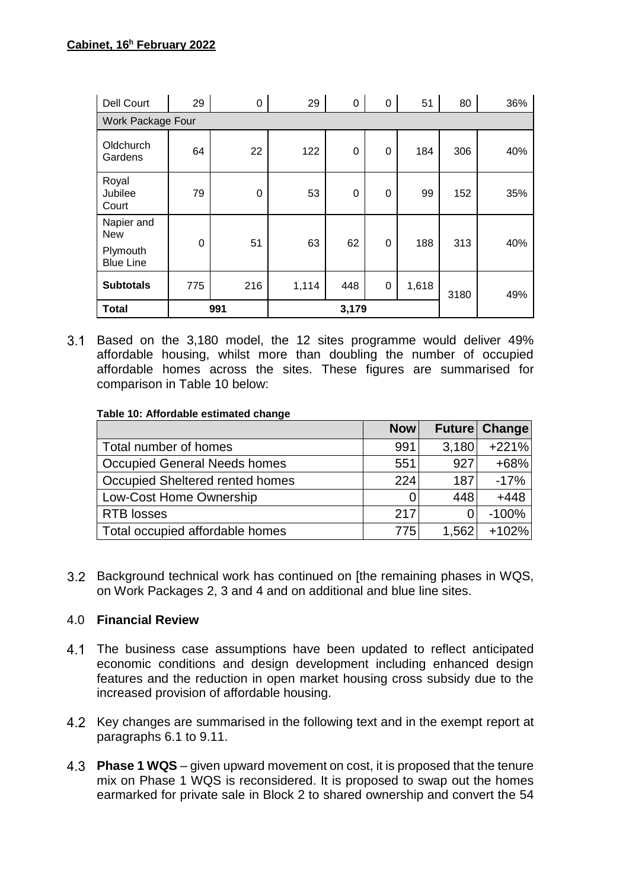| <b>Dell Court</b>                                        | 29          | 0   | 29    | $\mathbf 0$ | $\pmb{0}$        | 51    | 80   | 36% |
|----------------------------------------------------------|-------------|-----|-------|-------------|------------------|-------|------|-----|
| <b>Work Package Four</b>                                 |             |     |       |             |                  |       |      |     |
| Oldchurch<br>Gardens                                     | 64          | 22  | 122   | $\mathbf 0$ | $\pmb{0}$        | 184   | 306  | 40% |
| Royal<br>Jubilee<br>Court                                | 79          | 0   | 53    | $\mathbf 0$ | 0                | 99    | 152  | 35% |
| Napier and<br><b>New</b><br>Plymouth<br><b>Blue Line</b> | $\mathbf 0$ | 51  | 63    | 62          | 0                | 188   | 313  | 40% |
| <b>Subtotals</b>                                         | 775         | 216 | 1,114 | 448         | $\boldsymbol{0}$ | 1,618 | 3180 | 49% |
| <b>Total</b>                                             |             | 991 | 3,179 |             |                  |       |      |     |

Based on the 3,180 model, the 12 sites programme would deliver 49% affordable housing, whilst more than doubling the number of occupied affordable homes across the sites. These figures are summarised for comparison in Table 10 below:

#### **Table 10: Affordable estimated change**

|                                     | <b>Now</b> |       | Future Change |
|-------------------------------------|------------|-------|---------------|
| Total number of homes               | 991        | 3,180 | $+221%$       |
| <b>Occupied General Needs homes</b> | 551        | 927   | $+68%$        |
| Occupied Sheltered rented homes     | 224        | 187   | $-17%$        |
| Low-Cost Home Ownership             |            | 448   | $+448$        |
| <b>RTB</b> losses                   | 217        |       | $-100%$       |
| Total occupied affordable homes     | 775        | 1,562 | $+102%$       |

Background technical work has continued on [the remaining phases in WQS, on Work Packages 2, 3 and 4 and on additional and blue line sites.

## 4.0 **Financial Review**

- 4.1 The business case assumptions have been updated to reflect anticipated economic conditions and design development including enhanced design features and the reduction in open market housing cross subsidy due to the increased provision of affordable housing.
- 4.2 Key changes are summarised in the following text and in the exempt report at paragraphs 6.1 to 9.11.
- **Phase 1 WQS**  given upward movement on cost, it is proposed that the tenure mix on Phase 1 WQS is reconsidered. It is proposed to swap out the homes earmarked for private sale in Block 2 to shared ownership and convert the 54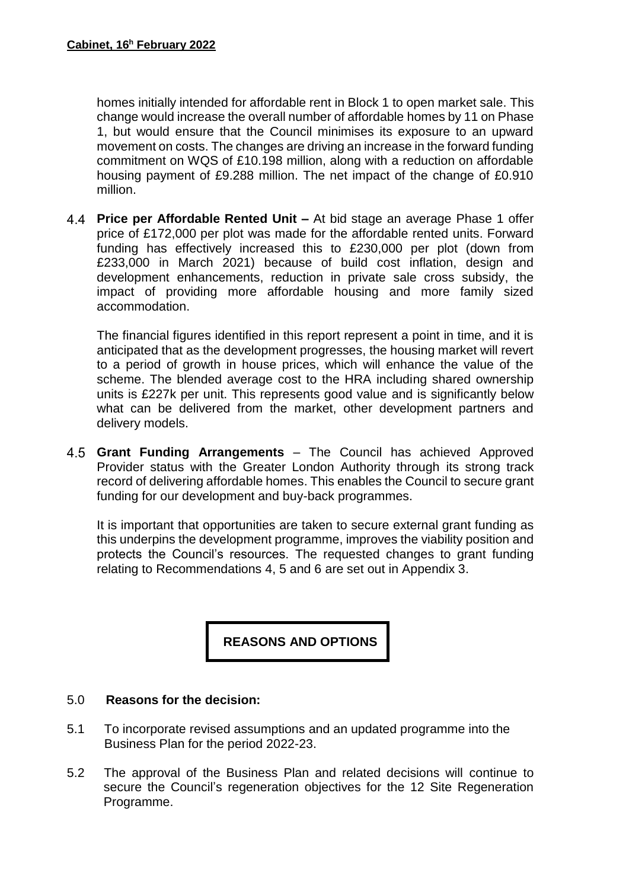homes initially intended for affordable rent in Block 1 to open market sale. This change would increase the overall number of affordable homes by 11 on Phase 1, but would ensure that the Council minimises its exposure to an upward movement on costs. The changes are driving an increase in the forward funding commitment on WQS of £10.198 million, along with a reduction on affordable housing payment of £9.288 million. The net impact of the change of £0.910 million.

**Price per Affordable Rented Unit –** At bid stage an average Phase 1 offer price of £172,000 per plot was made for the affordable rented units. Forward funding has effectively increased this to £230,000 per plot (down from £233,000 in March 2021) because of build cost inflation, design and development enhancements, reduction in private sale cross subsidy, the impact of providing more affordable housing and more family sized accommodation.

The financial figures identified in this report represent a point in time, and it is anticipated that as the development progresses, the housing market will revert to a period of growth in house prices, which will enhance the value of the scheme. The blended average cost to the HRA including shared ownership units is £227k per unit. This represents good value and is significantly below what can be delivered from the market, other development partners and delivery models.

**Grant Funding Arrangements** – The Council has achieved Approved Provider status with the Greater London Authority through its strong track record of delivering affordable homes. This enables the Council to secure grant funding for our development and buy-back programmes.

It is important that opportunities are taken to secure external grant funding as this underpins the development programme, improves the viability position and protects the Council's resources. The requested changes to grant funding relating to Recommendations 4, 5 and 6 are set out in Appendix 3.

**REASONS AND OPTIONS**

## 5.0 **Reasons for the decision:**

- 5.1 To incorporate revised assumptions and an updated programme into the Business Plan for the period 2022-23.
- 5.2 The approval of the Business Plan and related decisions will continue to secure the Council's regeneration objectives for the 12 Site Regeneration Programme.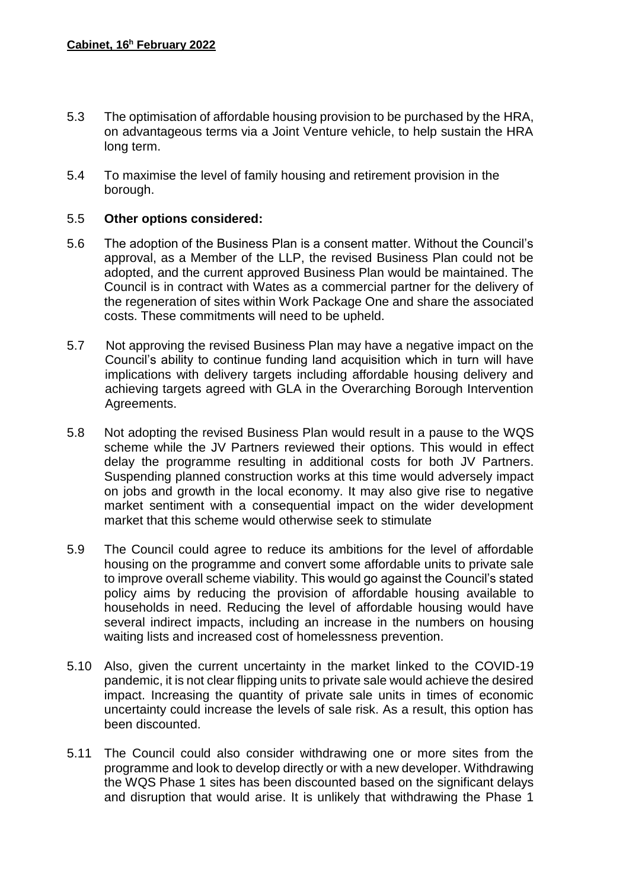- 5.3 The optimisation of affordable housing provision to be purchased by the HRA, on advantageous terms via a Joint Venture vehicle, to help sustain the HRA long term.
- 5.4 To maximise the level of family housing and retirement provision in the borough.

## 5.5 **Other options considered:**

- 5.6 The adoption of the Business Plan is a consent matter. Without the Council's approval, as a Member of the LLP, the revised Business Plan could not be adopted, and the current approved Business Plan would be maintained. The Council is in contract with Wates as a commercial partner for the delivery of the regeneration of sites within Work Package One and share the associated costs. These commitments will need to be upheld.
- 5.7 Not approving the revised Business Plan may have a negative impact on the Council's ability to continue funding land acquisition which in turn will have implications with delivery targets including affordable housing delivery and achieving targets agreed with GLA in the Overarching Borough Intervention Agreements.
- 5.8 Not adopting the revised Business Plan would result in a pause to the WQS scheme while the JV Partners reviewed their options. This would in effect delay the programme resulting in additional costs for both JV Partners. Suspending planned construction works at this time would adversely impact on jobs and growth in the local economy. It may also give rise to negative market sentiment with a consequential impact on the wider development market that this scheme would otherwise seek to stimulate
- 5.9 The Council could agree to reduce its ambitions for the level of affordable housing on the programme and convert some affordable units to private sale to improve overall scheme viability. This would go against the Council's stated policy aims by reducing the provision of affordable housing available to households in need. Reducing the level of affordable housing would have several indirect impacts, including an increase in the numbers on housing waiting lists and increased cost of homelessness prevention.
- 5.10 Also, given the current uncertainty in the market linked to the COVID-19 pandemic, it is not clear flipping units to private sale would achieve the desired impact. Increasing the quantity of private sale units in times of economic uncertainty could increase the levels of sale risk. As a result, this option has been discounted.
- 5.11 The Council could also consider withdrawing one or more sites from the programme and look to develop directly or with a new developer. Withdrawing the WQS Phase 1 sites has been discounted based on the significant delays and disruption that would arise. It is unlikely that withdrawing the Phase 1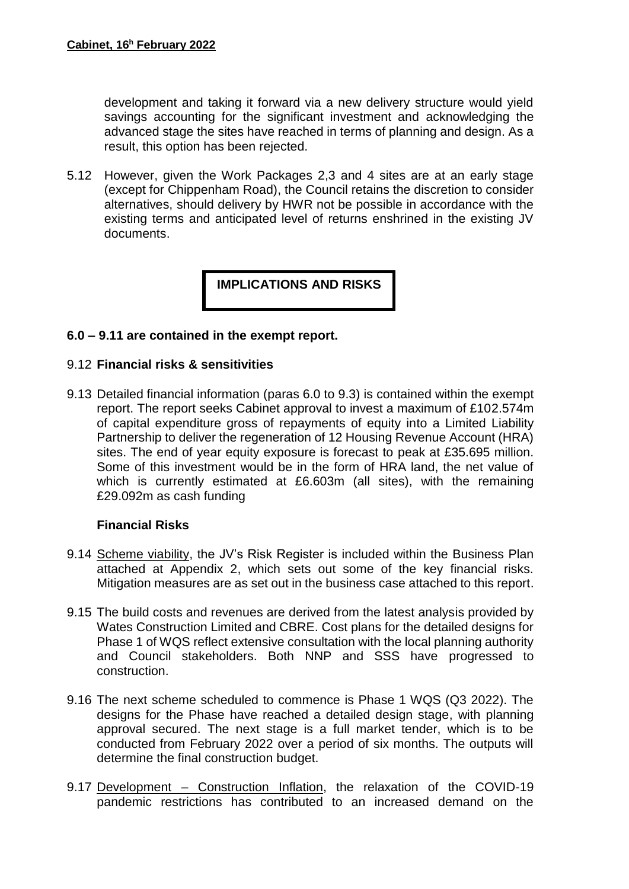development and taking it forward via a new delivery structure would yield savings accounting for the significant investment and acknowledging the advanced stage the sites have reached in terms of planning and design. As a result, this option has been rejected.

5.12 However, given the Work Packages 2,3 and 4 sites are at an early stage (except for Chippenham Road), the Council retains the discretion to consider alternatives, should delivery by HWR not be possible in accordance with the existing terms and anticipated level of returns enshrined in the existing JV documents.

**IMPLICATIONS AND RISKS**

#### **6.0 – 9.11 are contained in the exempt report.**

#### 9.12 **Financial risks & sensitivities**

9.13 Detailed financial information (paras 6.0 to 9.3) is contained within the exempt report. The report seeks Cabinet approval to invest a maximum of £102.574m of capital expenditure gross of repayments of equity into a Limited Liability Partnership to deliver the regeneration of 12 Housing Revenue Account (HRA) sites. The end of year equity exposure is forecast to peak at £35.695 million. Some of this investment would be in the form of HRA land, the net value of which is currently estimated at £6.603m (all sites), with the remaining £29.092m as cash funding

## **Financial Risks**

- 9.14 Scheme viability, the JV's Risk Register is included within the Business Plan attached at Appendix 2, which sets out some of the key financial risks. Mitigation measures are as set out in the business case attached to this report.
- 9.15 The build costs and revenues are derived from the latest analysis provided by Wates Construction Limited and CBRE. Cost plans for the detailed designs for Phase 1 of WQS reflect extensive consultation with the local planning authority and Council stakeholders. Both NNP and SSS have progressed to construction.
- 9.16 The next scheme scheduled to commence is Phase 1 WQS (Q3 2022). The designs for the Phase have reached a detailed design stage, with planning approval secured. The next stage is a full market tender, which is to be conducted from February 2022 over a period of six months. The outputs will determine the final construction budget.
- 9.17 Development Construction Inflation, the relaxation of the COVID-19 pandemic restrictions has contributed to an increased demand on the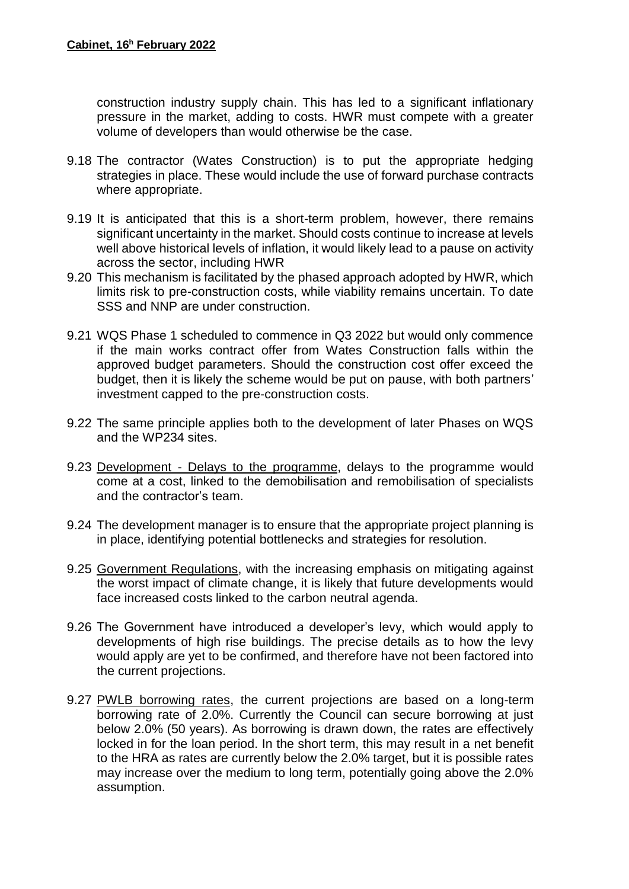construction industry supply chain. This has led to a significant inflationary pressure in the market, adding to costs. HWR must compete with a greater volume of developers than would otherwise be the case.

- 9.18 The contractor (Wates Construction) is to put the appropriate hedging strategies in place. These would include the use of forward purchase contracts where appropriate.
- 9.19 It is anticipated that this is a short-term problem, however, there remains significant uncertainty in the market. Should costs continue to increase at levels well above historical levels of inflation, it would likely lead to a pause on activity across the sector, including HWR
- 9.20 This mechanism is facilitated by the phased approach adopted by HWR, which limits risk to pre-construction costs, while viability remains uncertain. To date SSS and NNP are under construction.
- 9.21 WQS Phase 1 scheduled to commence in Q3 2022 but would only commence if the main works contract offer from Wates Construction falls within the approved budget parameters. Should the construction cost offer exceed the budget, then it is likely the scheme would be put on pause, with both partners' investment capped to the pre-construction costs.
- 9.22 The same principle applies both to the development of later Phases on WQS and the WP234 sites.
- 9.23 Development Delays to the programme, delays to the programme would come at a cost, linked to the demobilisation and remobilisation of specialists and the contractor's team.
- 9.24 The development manager is to ensure that the appropriate project planning is in place, identifying potential bottlenecks and strategies for resolution.
- 9.25 Government Regulations, with the increasing emphasis on mitigating against the worst impact of climate change, it is likely that future developments would face increased costs linked to the carbon neutral agenda.
- 9.26 The Government have introduced a developer's levy, which would apply to developments of high rise buildings. The precise details as to how the levy would apply are yet to be confirmed, and therefore have not been factored into the current projections.
- 9.27 PWLB borrowing rates, the current projections are based on a long-term borrowing rate of 2.0%. Currently the Council can secure borrowing at just below 2.0% (50 years). As borrowing is drawn down, the rates are effectively locked in for the loan period. In the short term, this may result in a net benefit to the HRA as rates are currently below the 2.0% target, but it is possible rates may increase over the medium to long term, potentially going above the 2.0% assumption.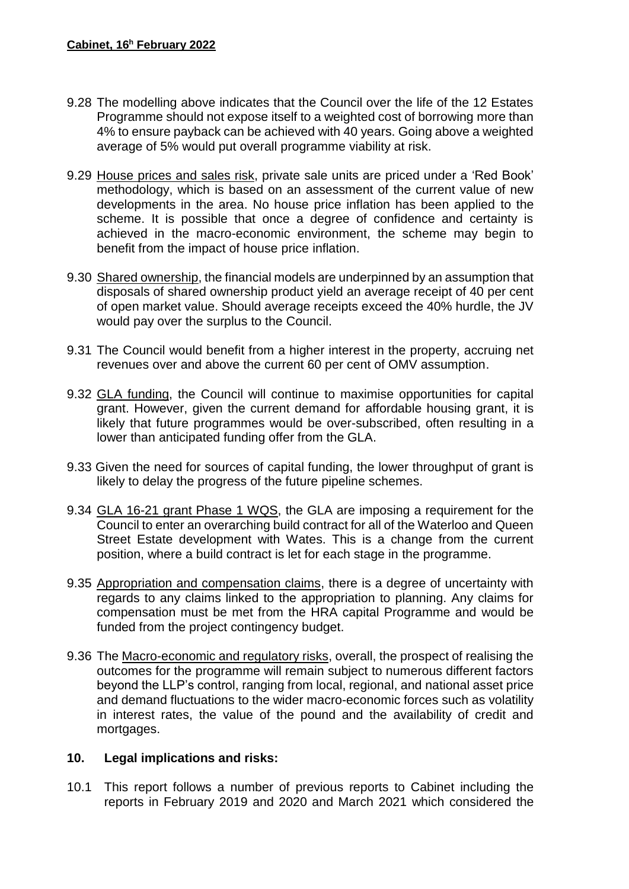- 9.28 The modelling above indicates that the Council over the life of the 12 Estates Programme should not expose itself to a weighted cost of borrowing more than 4% to ensure payback can be achieved with 40 years. Going above a weighted average of 5% would put overall programme viability at risk.
- 9.29 House prices and sales risk, private sale units are priced under a 'Red Book' methodology, which is based on an assessment of the current value of new developments in the area. No house price inflation has been applied to the scheme. It is possible that once a degree of confidence and certainty is achieved in the macro-economic environment, the scheme may begin to benefit from the impact of house price inflation.
- 9.30 Shared ownership, the financial models are underpinned by an assumption that disposals of shared ownership product yield an average receipt of 40 per cent of open market value. Should average receipts exceed the 40% hurdle, the JV would pay over the surplus to the Council.
- 9.31 The Council would benefit from a higher interest in the property, accruing net revenues over and above the current 60 per cent of OMV assumption.
- 9.32 GLA funding, the Council will continue to maximise opportunities for capital grant. However, given the current demand for affordable housing grant, it is likely that future programmes would be over-subscribed, often resulting in a lower than anticipated funding offer from the GLA.
- 9.33 Given the need for sources of capital funding, the lower throughput of grant is likely to delay the progress of the future pipeline schemes.
- 9.34 GLA 16-21 grant Phase 1 WQS, the GLA are imposing a requirement for the Council to enter an overarching build contract for all of the Waterloo and Queen Street Estate development with Wates. This is a change from the current position, where a build contract is let for each stage in the programme.
- 9.35 Appropriation and compensation claims, there is a degree of uncertainty with regards to any claims linked to the appropriation to planning. Any claims for compensation must be met from the HRA capital Programme and would be funded from the project contingency budget.
- 9.36 The Macro-economic and regulatory risks, overall, the prospect of realising the outcomes for the programme will remain subject to numerous different factors beyond the LLP's control, ranging from local, regional, and national asset price and demand fluctuations to the wider macro-economic forces such as volatility in interest rates, the value of the pound and the availability of credit and mortgages.

## **10. Legal implications and risks:**

10.1 This report follows a number of previous reports to Cabinet including the reports in February 2019 and 2020 and March 2021 which considered the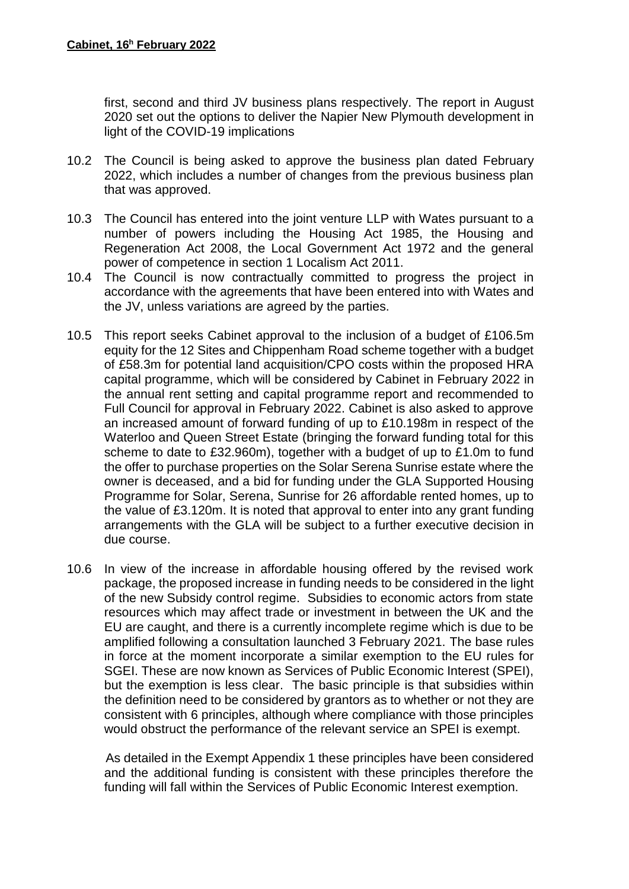first, second and third JV business plans respectively. The report in August 2020 set out the options to deliver the Napier New Plymouth development in light of the COVID-19 implications

- 10.2 The Council is being asked to approve the business plan dated February 2022, which includes a number of changes from the previous business plan that was approved.
- 10.3 The Council has entered into the joint venture LLP with Wates pursuant to a number of powers including the Housing Act 1985, the Housing and Regeneration Act 2008, the Local Government Act 1972 and the general power of competence in section 1 Localism Act 2011.
- 10.4 The Council is now contractually committed to progress the project in accordance with the agreements that have been entered into with Wates and the JV, unless variations are agreed by the parties.
- 10.5 This report seeks Cabinet approval to the inclusion of a budget of £106.5m equity for the 12 Sites and Chippenham Road scheme together with a budget of £58.3m for potential land acquisition/CPO costs within the proposed HRA capital programme, which will be considered by Cabinet in February 2022 in the annual rent setting and capital programme report and recommended to Full Council for approval in February 2022. Cabinet is also asked to approve an increased amount of forward funding of up to £10.198m in respect of the Waterloo and Queen Street Estate (bringing the forward funding total for this scheme to date to £32.960m), together with a budget of up to £1.0m to fund the offer to purchase properties on the Solar Serena Sunrise estate where the owner is deceased, and a bid for funding under the GLA Supported Housing Programme for Solar, Serena, Sunrise for 26 affordable rented homes, up to the value of £3.120m. It is noted that approval to enter into any grant funding arrangements with the GLA will be subject to a further executive decision in due course.
- 10.6 In view of the increase in affordable housing offered by the revised work package, the proposed increase in funding needs to be considered in the light of the new Subsidy control regime. Subsidies to economic actors from state resources which may affect trade or investment in between the UK and the EU are caught, and there is a currently incomplete regime which is due to be amplified following a consultation launched 3 February 2021. The base rules in force at the moment incorporate a similar exemption to the EU rules for SGEI. These are now known as Services of Public Economic Interest (SPEI), but the exemption is less clear. The basic principle is that subsidies within the definition need to be considered by grantors as to whether or not they are consistent with 6 principles, although where compliance with those principles would obstruct the performance of the relevant service an SPEI is exempt.

 As detailed in the Exempt Appendix 1 these principles have been considered and the additional funding is consistent with these principles therefore the funding will fall within the Services of Public Economic Interest exemption.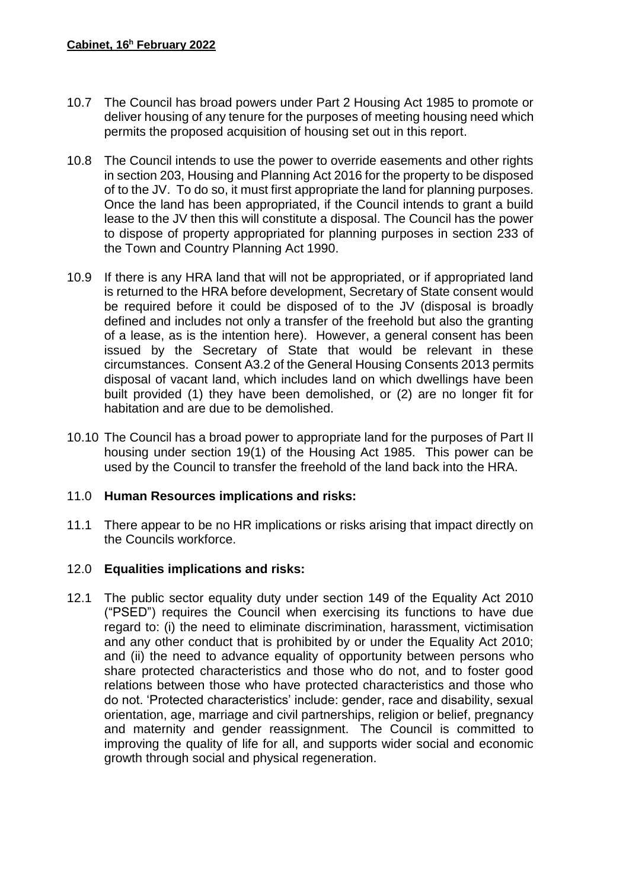- 10.7 The Council has broad powers under Part 2 Housing Act 1985 to promote or deliver housing of any tenure for the purposes of meeting housing need which permits the proposed acquisition of housing set out in this report.
- 10.8 The Council intends to use the power to override easements and other rights in section 203, Housing and Planning Act 2016 for the property to be disposed of to the JV. To do so, it must first appropriate the land for planning purposes. Once the land has been appropriated, if the Council intends to grant a build lease to the JV then this will constitute a disposal. The Council has the power to dispose of property appropriated for planning purposes in section 233 of the Town and Country Planning Act 1990.
- 10.9 If there is any HRA land that will not be appropriated, or if appropriated land is returned to the HRA before development, Secretary of State consent would be required before it could be disposed of to the JV (disposal is broadly defined and includes not only a transfer of the freehold but also the granting of a lease, as is the intention here). However, a general consent has been issued by the Secretary of State that would be relevant in these circumstances. Consent A3.2 of the General Housing Consents 2013 permits disposal of vacant land, which includes land on which dwellings have been built provided (1) they have been demolished, or (2) are no longer fit for habitation and are due to be demolished.
- 10.10 The Council has a broad power to appropriate land for the purposes of Part II housing under section 19(1) of the Housing Act 1985. This power can be used by the Council to transfer the freehold of the land back into the HRA.

## 11.0 **Human Resources implications and risks:**

11.1 There appear to be no HR implications or risks arising that impact directly on the Councils workforce.

## 12.0 **Equalities implications and risks:**

12.1 The public sector equality duty under section 149 of the Equality Act 2010 ("PSED") requires the Council when exercising its functions to have due regard to: (i) the need to eliminate discrimination, harassment, victimisation and any other conduct that is prohibited by or under the Equality Act 2010; and (ii) the need to advance equality of opportunity between persons who share protected characteristics and those who do not, and to foster good relations between those who have protected characteristics and those who do not. 'Protected characteristics' include: gender, race and disability, sexual orientation, age, marriage and civil partnerships, religion or belief, pregnancy and maternity and gender reassignment. The Council is committed to improving the quality of life for all, and supports wider social and economic growth through social and physical regeneration.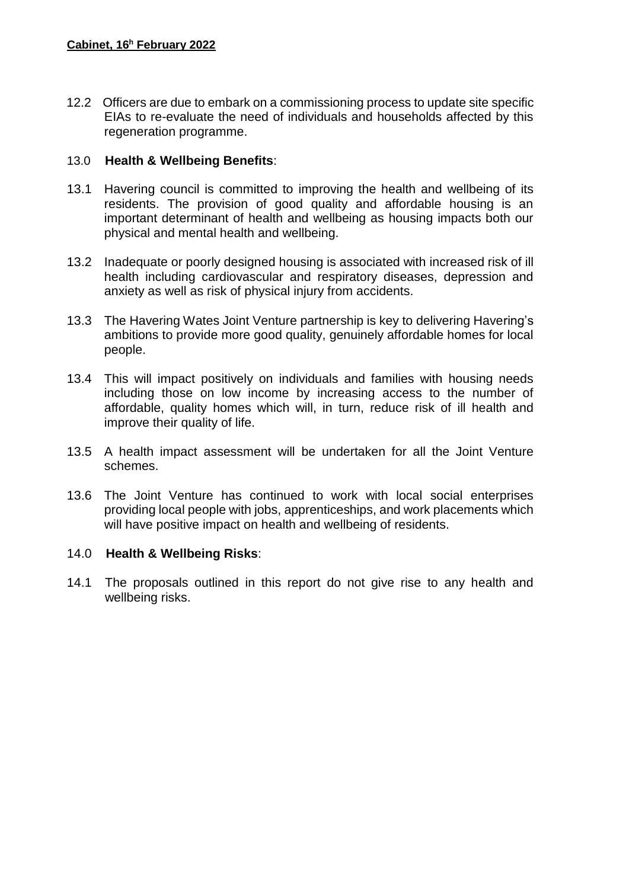12.2 Officers are due to embark on a commissioning process to update site specific EIAs to re-evaluate the need of individuals and households affected by this regeneration programme.

# 13.0 **Health & Wellbeing Benefits**:

- 13.1 Havering council is committed to improving the health and wellbeing of its residents. The provision of good quality and affordable housing is an important determinant of health and wellbeing as housing impacts both our physical and mental health and wellbeing.
- 13.2 Inadequate or poorly designed housing is associated with increased risk of ill health including cardiovascular and respiratory diseases, depression and anxiety as well as risk of physical injury from accidents.
- 13.3 The Havering Wates Joint Venture partnership is key to delivering Havering's ambitions to provide more good quality, genuinely affordable homes for local people.
- 13.4 This will impact positively on individuals and families with housing needs including those on low income by increasing access to the number of affordable, quality homes which will, in turn, reduce risk of ill health and improve their quality of life.
- 13.5 A health impact assessment will be undertaken for all the Joint Venture schemes.
- 13.6 The Joint Venture has continued to work with local social enterprises providing local people with jobs, apprenticeships, and work placements which will have positive impact on health and wellbeing of residents.

## 14.0 **Health & Wellbeing Risks**:

14.1 The proposals outlined in this report do not give rise to any health and wellbeing risks.